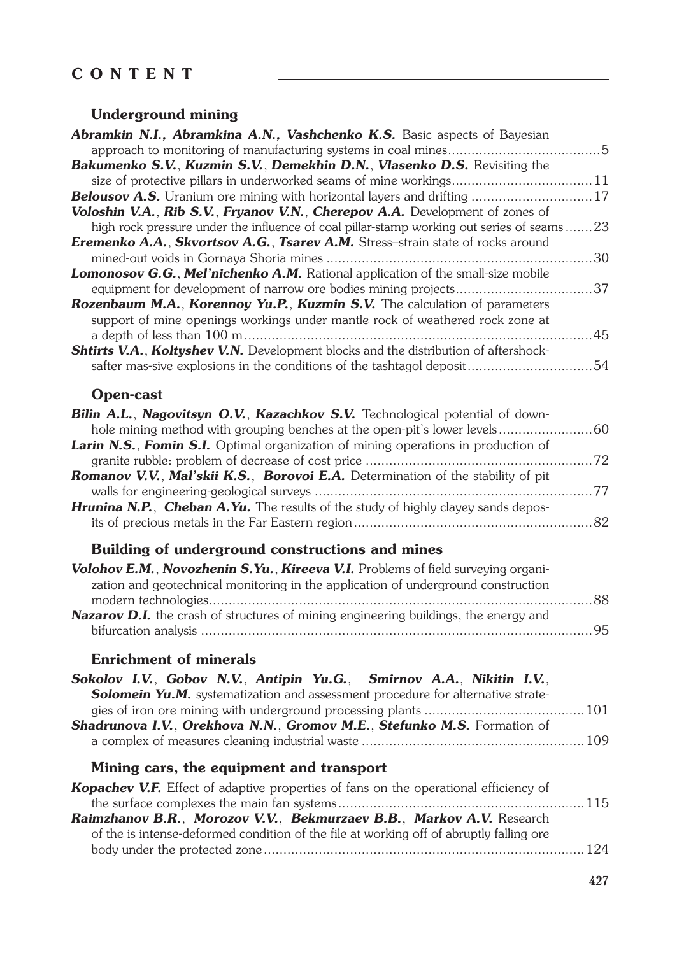# **CONTENT**

### **Underground mining**

| Abramkin N.I., Abramkina A.N., Vashchenko K.S. Basic aspects of Bayesian                    |  |
|---------------------------------------------------------------------------------------------|--|
|                                                                                             |  |
| Bakumenko S.V., Kuzmin S.V., Demekhin D.N., Vlasenko D.S. Revisiting the                    |  |
| size of protective pillars in underworked seams of mine workings 11                         |  |
| <b>Belousov A.S.</b> Uranium ore mining with horizontal layers and drifting  17             |  |
| Voloshin V.A., Rib S.V., Fryanov V.N., Cherepov A.A. Development of zones of                |  |
| high rock pressure under the influence of coal pillar-stamp working out series of seams23   |  |
| Eremenko A.A., Skvortsov A.G., Tsarev A.M. Stress-strain state of rocks around              |  |
|                                                                                             |  |
| Lomonosov G.G., Mel'nichenko A.M. Rational application of the small-size mobile             |  |
| equipment for development of narrow ore bodies mining projects37                            |  |
| <b>Rozenbaum M.A., Korennoy Yu.P., Kuzmin S.V.</b> The calculation of parameters            |  |
| support of mine openings workings under mantle rock of weathered rock zone at               |  |
|                                                                                             |  |
| Shtirts V.A., Koltyshev V.N. Development blocks and the distribution of aftershock-         |  |
| safter mas-sive explosions in the conditions of the tashtagol deposit54                     |  |
|                                                                                             |  |
| <b>Open-cast</b>                                                                            |  |
| Bilin A.L., Nagovitsyn O.V., Kazachkov S.V. Technological potential of down-                |  |
| hole mining method with grouping benches at the open-pit's lower levels60                   |  |
| Larin N.S., Fomin S.I. Optimal organization of mining operations in production of           |  |
|                                                                                             |  |
| Romanov V.V., Mal'skii K.S., Borovoi E.A. Determination of the stability of pit             |  |
|                                                                                             |  |
| Hrunina N.P., Cheban A.Yu. The results of the study of highly clayey sands depos-           |  |
|                                                                                             |  |
|                                                                                             |  |
| Building of underground constructions and mines                                             |  |
| Volohov E.M., Novozhenin S.Yu., Kireeva V.I. Problems of field surveying organi-            |  |
| zation and geotechnical monitoring in the application of underground construction           |  |
|                                                                                             |  |
| <b>Nazarov D.I.</b> the crash of structures of mining engineering buildings, the energy and |  |
|                                                                                             |  |
|                                                                                             |  |
| <b>Enrichment of minerals</b>                                                               |  |
| Sokolov I.V., Gobov N.V., Antipin Yu.G., Smirnov A.A., Nikitin I.V.,                        |  |
| Solomein Yu.M. systematization and assessment procedure for alternative strate-             |  |
|                                                                                             |  |
| Shadrunova I.V., Orekhova N.N., Gromov M.E., Stefunko M.S. Formation of                     |  |
|                                                                                             |  |
|                                                                                             |  |
| Mining cars, the equipment and transport                                                    |  |
| Kopachev V.F. Effect of adaptive properties of fans on the operational efficiency of        |  |
|                                                                                             |  |
| Raimzhanov B.R., Morozov V.V., Bekmurzaev B.B., Markov A.V. Research                        |  |
|                                                                                             |  |
| of the is intense-deformed condition of the file at working off of abruptly falling ore     |  |
|                                                                                             |  |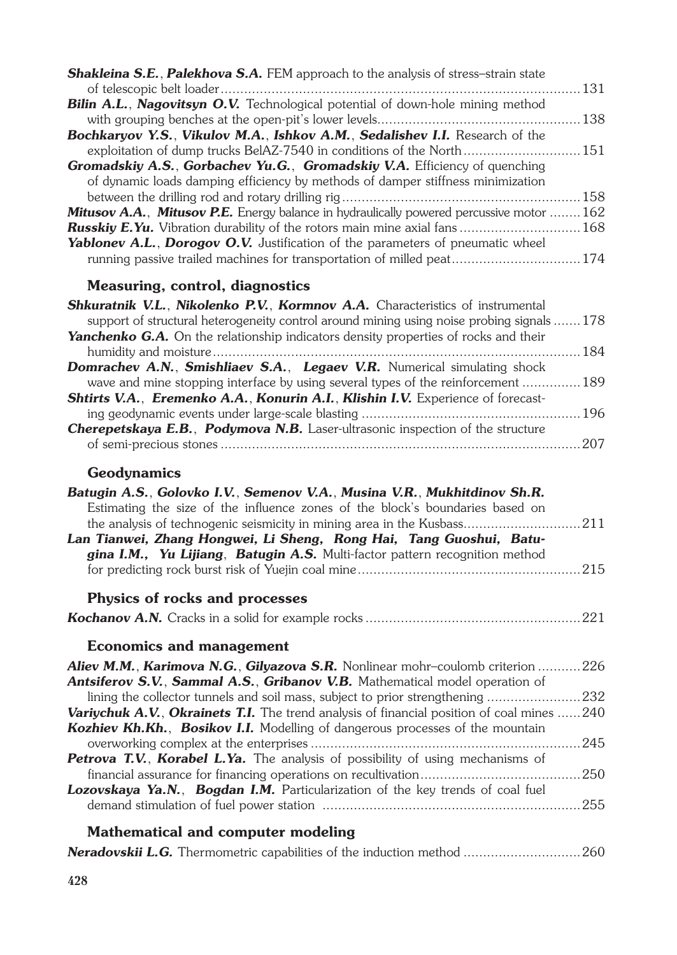| Shakleina S.E., Palekhova S.A. FEM approach to the analysis of stress-strain state         |       |
|--------------------------------------------------------------------------------------------|-------|
|                                                                                            | 131   |
| Bilin A.L., Nagovitsyn O.V. Technological potential of down-hole mining method             |       |
|                                                                                            | . 138 |
| Bochkaryov Y.S., Vikulov M.A., Ishkov A.M., Sedalishev I.I. Research of the                |       |
| exploitation of dump trucks BeIAZ-7540 in conditions of the North 151                      |       |
| <b>Gromadskiy A.S., Gorbachev Yu.G., Gromadskiy V.A.</b> Efficiency of quenching           |       |
| of dynamic loads damping efficiency by methods of damper stiffness minimization            |       |
|                                                                                            | . 158 |
| Mitusov A.A., Mitusov P.E. Energy balance in hydraulically powered percussive motor 162    |       |
| <b>Russkiy E.Yu.</b> Vibration durability of the rotors main mine axial fans  168          |       |
| <b>Yablonev A.L., Dorogov O.V.</b> Justification of the parameters of pneumatic wheel      |       |
| running passive trailed machines for transportation of milled peat 174                     |       |
| <b>Measuring, control, diagnostics</b>                                                     |       |
| <b>Shkuratnik V.L., Nikolenko P.V., Kormnov A.A.</b> Characteristics of instrumental       |       |
| support of structural heterogeneity control around mining using noise probing signals178   |       |
| <b>Yanchenko G.A.</b> On the relationship indicators density properties of rocks and their |       |
|                                                                                            | 184   |
| Domrachev A.N., Smishliaev S.A., Legaev V.R. Numerical simulating shock                    |       |
| wave and mine stopping interface by using several types of the reinforcement  189          |       |
| <b>Shtirts V.A., Eremenko A.A., Konurin A.I., Klishin I.V.</b> Experience of forecast-     |       |

| <b>Cherepetskaya E.B., Podymova N.B.</b> Laser-ultrasonic inspection of the structure |  |
|---------------------------------------------------------------------------------------|--|
|                                                                                       |  |

# **Geodynamics**

| Batugin A.S., Golovko I.V., Semenov V.A., Musina V.R., Mukhitdinov Sh.R.              |     |
|---------------------------------------------------------------------------------------|-----|
| Estimating the size of the influence zones of the block's boundaries based on         |     |
| the analysis of technogenic seismicity in mining area in the Kusbass211               |     |
| Lan Tianwei, Zhang Hongwei, Li Sheng, Rong Hai, Tang Guoshui, Batu-                   |     |
| gina I.M., Yu Lijiang, Batugin A.S. Multi-factor pattern recognition method           |     |
|                                                                                       | 215 |
| Physics of rocks and processes                                                        |     |
|                                                                                       |     |
| <b>Economics and management</b>                                                       |     |
| <b>Aliev M.M., Karimova N.G., Gilyazova S.R.</b> Nonlinear mohr-coulomb criterion     | 226 |
| <b>Antsiferov S.V., Sammal A.S., Gribanov V.B.</b> Mathematical model operation of    |     |
| lining the collector tunnels and soil mass, subject to prior strengthening            | 232 |
| Variychuk A.V., Okrainets T.I. The trend analysis of financial position of coal mines | 240 |
| <b>Kozhiev Kh.Kh., Bosikov I.I.</b> Modelling of dangerous processes of the mountain  |     |
|                                                                                       | 245 |
| Petrova T.V., Korabel L.Ya. The analysis of possibility of using mechanisms of        |     |
|                                                                                       | 250 |
| <b>Lozovskaya Ya.N., Bogdan I.M.</b> Particularization of the key trends of coal fuel |     |
|                                                                                       | 255 |
| Mathematical and computer modeling                                                    |     |
|                                                                                       |     |

|  |  |  |  |  |  | <b>Neradovskij L.G.</b> Thermometric capabilities of the induction method  260 |
|--|--|--|--|--|--|--------------------------------------------------------------------------------|
|--|--|--|--|--|--|--------------------------------------------------------------------------------|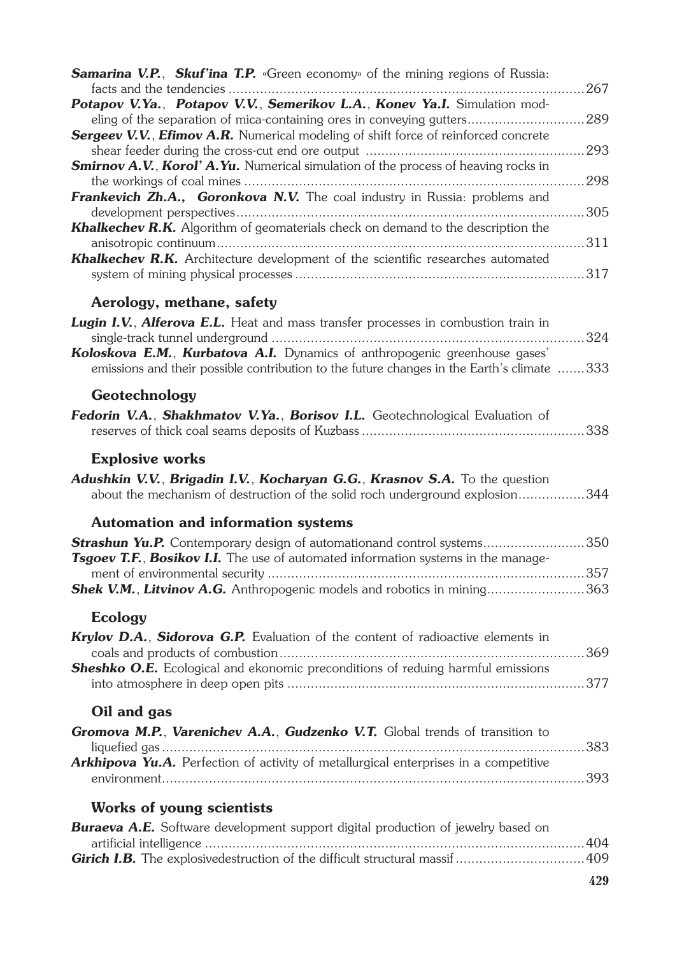| <b>Samarina V.P., Skuf'ina T.P.</b> «Green economy» of the mining regions of Russia:       |     |
|--------------------------------------------------------------------------------------------|-----|
|                                                                                            |     |
| Potapov V.Ya., Potapov V.V., Semerikov L.A., Konev Ya.I. Simulation mod-                   |     |
| eling of the separation of mica-containing ores in conveying gutters289                    |     |
| <b>Sergeev V.V., Efimov A.R.</b> Numerical modeling of shift force of reinforced concrete  |     |
| <b>Smirnov A.V., Korol' A.Yu.</b> Numerical simulation of the process of heaving rocks in  |     |
|                                                                                            |     |
| Frankevich Zh.A., Goronkova N.V. The coal industry in Russia: problems and                 |     |
|                                                                                            |     |
| Khalkechev R.K. Algorithm of geomaterials check on demand to the description the           |     |
|                                                                                            |     |
| Khalkechev R.K. Architecture development of the scientific researches automated            |     |
|                                                                                            |     |
|                                                                                            |     |
| Aerology, methane, safety                                                                  |     |
| Lugin I.V., Alferova E.L. Heat and mass transfer processes in combustion train in          |     |
|                                                                                            |     |
| Koloskova E.M., Kurbatova A.I. Dynamics of anthropogenic greenhouse gases'                 |     |
| emissions and their possible contribution to the future changes in the Earth's climate 333 |     |
|                                                                                            |     |
| Geotechnology                                                                              |     |
| Fedorin V.A., Shakhmatov V.Ya., Borisov I.L. Geotechnological Evaluation of                |     |
|                                                                                            | 338 |
|                                                                                            |     |
| <b>Explosive works</b>                                                                     |     |
| Adushkin V.V., Brigadin I.V., Kocharyan G.G., Krasnov S.A. To the question                 |     |
| about the mechanism of destruction of the solid roch underground explosion344              |     |
|                                                                                            |     |
|                                                                                            |     |
| <b>Automation and information systems</b>                                                  |     |
| Strashun Yu.P. Contemporary design of automationand control systems350                     |     |
| Tsgoev T.F., Bosikov I.I. The use of automated information systems in the manage-          |     |
|                                                                                            |     |
| <b>Shek V.M., Litvinov A.G.</b> Anthropogenic models and robotics in mining363             |     |
|                                                                                            |     |
| <b>Ecology</b>                                                                             |     |
| Krylov D.A., Sidorova G.P. Evaluation of the content of radioactive elements in            |     |
|                                                                                            |     |
| Sheshko O.E. Ecological and ekonomic preconditions of reduing harmful emissions            |     |
|                                                                                            |     |
| Oil and gas                                                                                |     |
|                                                                                            |     |
| Gromova M.P., Varenichev A.A., Gudzenko V.T. Global trends of transition to                |     |
| Arkhipova Yu.A. Perfection of activity of metallurgical enterprises in a competitive       |     |
|                                                                                            |     |
|                                                                                            |     |
| <b>Works of young scientists</b>                                                           |     |
|                                                                                            |     |
| <b>Buraeva A.E.</b> Software development support digital production of jewelry based on    |     |
| Girich I.B. The explosivedestruction of the difficult structural massif  409               |     |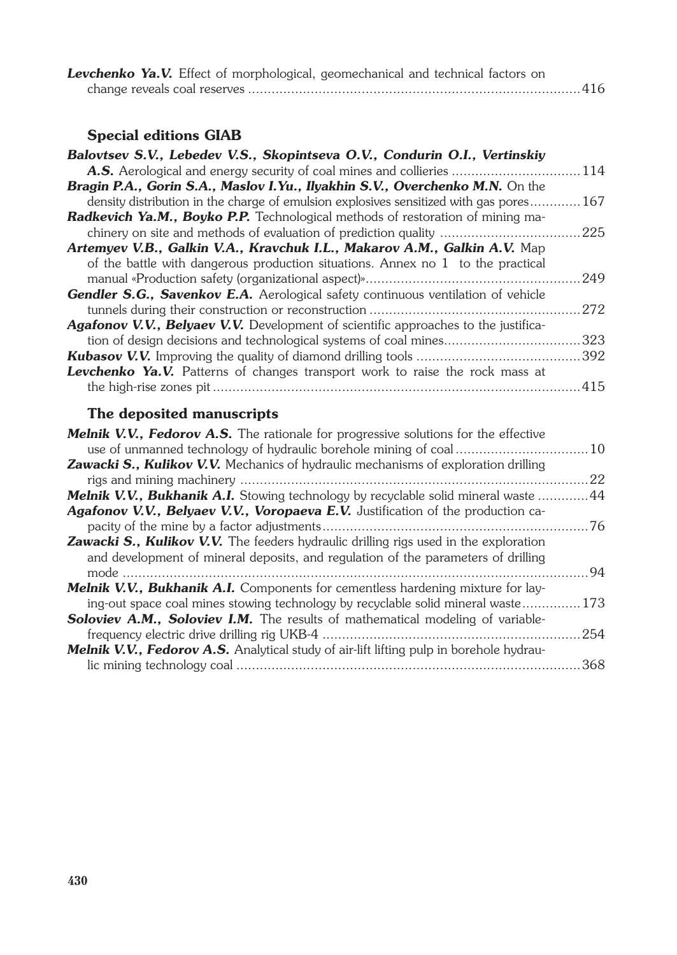|  | Levchenko Ya.V. Effect of morphological, geomechanical and technical factors on |  |  |  |
|--|---------------------------------------------------------------------------------|--|--|--|
|  |                                                                                 |  |  |  |

### **Special editions GIAB**

| Balovtsev S.V., Lebedev V.S., Skopintseva O.V., Condurin O.I., Vertinskiy                      |      |
|------------------------------------------------------------------------------------------------|------|
|                                                                                                | 114  |
| Bragin P.A., Gorin S.A., Maslov I.Yu., Ilyakhin S.V., Overchenko M.N. On the                   |      |
| density distribution in the charge of emulsion explosives sensitized with gas pores            | 167  |
| Radkevich Ya.M., Boyko P.P. Technological methods of restoration of mining ma-                 |      |
|                                                                                                | 225  |
| Artemyev V.B., Galkin V.A., Kravchuk I.L., Makarov A.M., Galkin A.V. Map                       |      |
| of the battle with dangerous production situations. Annex no $1$ to the practical              |      |
|                                                                                                | 249  |
| Gendler S.G., Savenkov E.A. Aerological safety continuous ventilation of vehicle               |      |
|                                                                                                | 272  |
| Agafonov V.V., Belyaev V.V. Development of scientific approaches to the justifica-             |      |
| tion of design decisions and technological systems of coal mines                               | .323 |
|                                                                                                | .392 |
| <b>Levchenko Ya.V.</b> Patterns of changes transport work to raise the rock mass at            |      |
|                                                                                                | 415  |
|                                                                                                |      |
| The deposited manuscripts                                                                      |      |
| Melnik V.V., Fedorov A.S. The rationale for progressive solutions for the effective            |      |
|                                                                                                | 10   |
| Zawacki S., Kulikov V.V. Mechanics of hydraulic mechanisms of exploration drilling             |      |
|                                                                                                | 22   |
| Melnik V.V., Bukhanik A.I. Stowing technology by recyclable solid mineral waste  44            |      |
| Agafonov V.V., Belyaev V.V., Voropaeva E.V. Justification of the production ca-                |      |
|                                                                                                | 76   |
| Zawacki S., Kulikov V.V. The feeders hydraulic drilling rigs used in the exploration           |      |
| and development of mineral deposits, and regulation of the parameters of drilling              |      |
|                                                                                                | 94   |
| <b>Melnik V.V., Bukhanik A.I.</b> Components for cementless hardening mixture for lay-         |      |
| ing-out space coal mines stowing technology by recyclable solid mineral waste                  | 173  |
| Soloviev A.M., Soloviev I.M. The results of mathematical modeling of variable-                 |      |
| frequency electric drive drilling rig UKB-4.                                                   | 254  |
| <b>Melnik V.V., Fedorov A.S.</b> Analytical study of air-lift lifting pulp in borehole hydrau- |      |
|                                                                                                | 368  |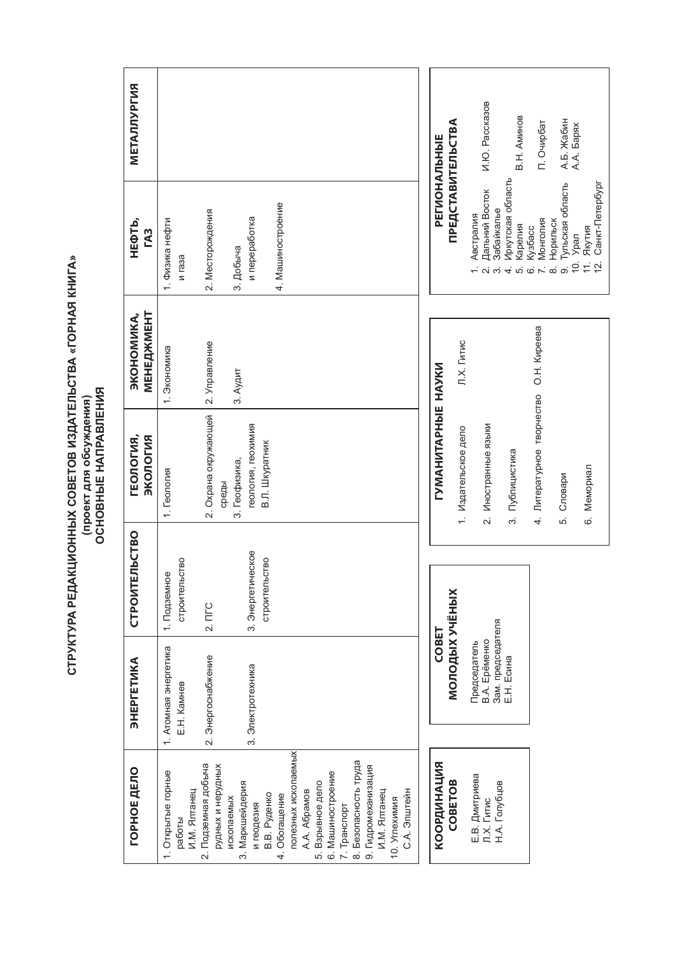| METAJJJYPFMR<br>НЕФТЬ,<br><b>TA3</b> | 4. Машиностроение<br>2. Месторождения<br>и переработка<br>1. Физика нефти<br>3. Добыча<br><b>N</b> rasa                                                                                                                                                                                                                                                                  | И.Ю. Рассказов<br>В.Н. Аминов<br>А.Б. Жабин<br>А.А. Барях<br><b>ПРЕДСТАВИТЕЛЬСТВА</b><br>П. Очирбат<br>PEIVOHAJINHHE<br>Иркутская область<br>Тульская область<br>12. Санкт-Петербург<br>Дальний Восток<br>Забайкалье<br>Австралия<br>Монголия<br>Норильск<br>Карелия<br>Кузбасс<br>11. RKYTMR<br>10. Урал<br>$4.0.06 \times 0.06$<br>പ് ന് |
|--------------------------------------|--------------------------------------------------------------------------------------------------------------------------------------------------------------------------------------------------------------------------------------------------------------------------------------------------------------------------------------------------------------------------|--------------------------------------------------------------------------------------------------------------------------------------------------------------------------------------------------------------------------------------------------------------------------------------------------------------------------------------------|
|                                      |                                                                                                                                                                                                                                                                                                                                                                          |                                                                                                                                                                                                                                                                                                                                            |
| MEHEAXMEHT<br><b>ЭКОНОМИКА,</b>      | 2. Управление<br>1. Экономика<br>3. Аудит                                                                                                                                                                                                                                                                                                                                | Л.Х. Гитис                                                                                                                                                                                                                                                                                                                                 |
| ВИЈОГОК<br><b>FEOJIOFIAR,</b>        | 2. Охрана окружающей<br>геология, геохимия<br>В.Л. Шкуратник<br>3. Геофизика,<br>1. Геология<br>среды                                                                                                                                                                                                                                                                    | 4. Литературное творчество О.Н. Киреева<br><b>LYMAHNTAPHDIE HAYKN</b><br>2. Иностранные языки<br>1. Издательское дело<br>3. Публицистика<br>6. Мемориал<br>5. Словари                                                                                                                                                                      |
| СТРОИТЕЛЬСТВО                        | 3. Энергетическое<br>строительство<br>строительство<br>1. Подземное<br>2.7 <sub>TC</sub>                                                                                                                                                                                                                                                                                 |                                                                                                                                                                                                                                                                                                                                            |
| ETVIKA<br><b>SHEP</b>                | энергетика<br>набжение<br>3. Электротехника<br>E.H. Kamhes<br>1. ATOMHAR<br>2. Энергосн                                                                                                                                                                                                                                                                                  | <b>МОЛОДЫХ УЧЁНЫХ</b><br>Председатель<br>В.А. Ерёменко<br>Зам. председателя<br>Е.Н. Есина<br><b>COBET</b>                                                                                                                                                                                                                                  |
| ГОРНОЕ ДЕЛО                          | полезных ископаемых<br>8. Безопасность труда<br>2. Подземная добыча<br>9. Гидромеханизация<br>рудных и нерудных<br>. Открытые горные<br>6. Машиностроение<br>5. Взрывное дело<br>3. Маркшейдерия<br>И.М. Ялтанец<br>A.A. Aбрамов<br>С.А. Эпштейн<br>И.М. Ялганец<br>4. Обогащение<br>В.В. Руденко<br>ископаемых<br>10. Углехимия<br>и геодезия<br>7. Транспорт<br>работы | КООРДИНАЦИЯ<br>Е.В. Дмитриева<br>Л.Х. Гитис<br>COBETOB<br>Н.А. Голубцов                                                                                                                                                                                                                                                                    |

**СТРУКТУРА РЕДАКЦИОННЫХ СОВЕТОВ ИЗДАТЕЛЬСТВА «ГОРНАЯ КНИГА» (проект для обсуждения) ОСНОВНЫЕ НАПРАВЛЕНИЯ**